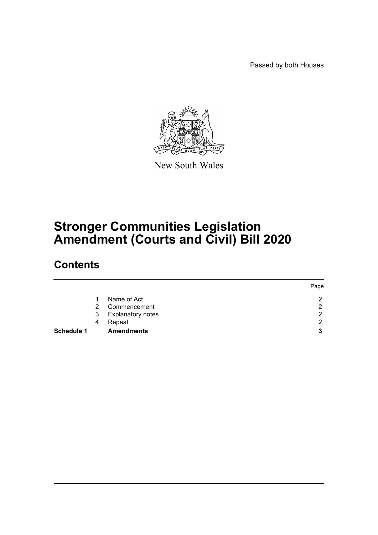Passed by both Houses



New South Wales

# **Stronger Communities Legislation Amendment (Courts and Civil) Bill 2020**

# **Contents**

|                   |               |                          | Page |
|-------------------|---------------|--------------------------|------|
|                   |               | Name of Act              | റ    |
|                   | $\mathcal{P}$ | Commencement             | ົ    |
|                   | 3             | <b>Explanatory notes</b> | റ    |
|                   | 4             | Repeal                   | ◠    |
| <b>Schedule 1</b> |               | <b>Amendments</b>        | 3    |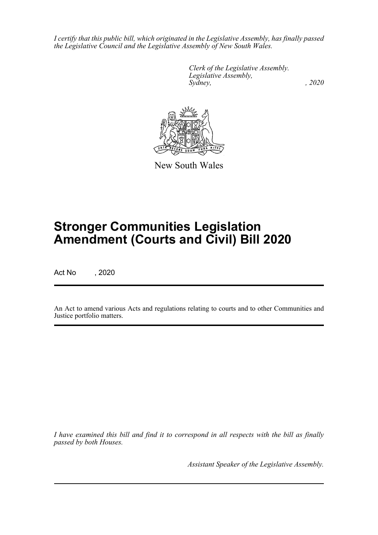*I certify that this public bill, which originated in the Legislative Assembly, has finally passed the Legislative Council and the Legislative Assembly of New South Wales.*

> *Clerk of the Legislative Assembly. Legislative Assembly, Sydney, , 2020*



New South Wales

# **Stronger Communities Legislation Amendment (Courts and Civil) Bill 2020**

Act No , 2020

An Act to amend various Acts and regulations relating to courts and to other Communities and Justice portfolio matters.

*I have examined this bill and find it to correspond in all respects with the bill as finally passed by both Houses.*

*Assistant Speaker of the Legislative Assembly.*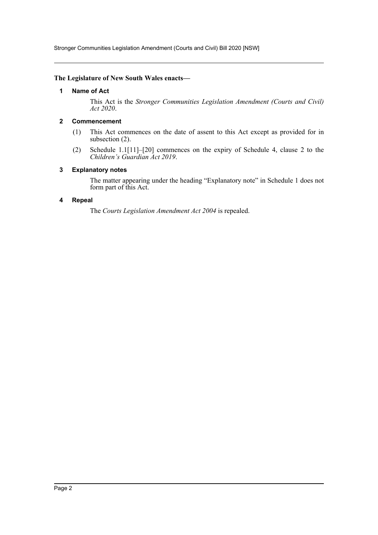Stronger Communities Legislation Amendment (Courts and Civil) Bill 2020 [NSW]

# <span id="page-2-0"></span>**The Legislature of New South Wales enacts—**

# **1 Name of Act**

This Act is the *Stronger Communities Legislation Amendment (Courts and Civil) Act 2020*.

# <span id="page-2-1"></span>**2 Commencement**

- (1) This Act commences on the date of assent to this Act except as provided for in subsection (2).
- (2) Schedule 1.1[11]–[20] commences on the expiry of Schedule 4, clause 2 to the *Children's Guardian Act 2019*.

# <span id="page-2-2"></span>**3 Explanatory notes**

The matter appearing under the heading "Explanatory note" in Schedule 1 does not form part of this Act.

# <span id="page-2-3"></span>**4 Repeal**

The *Courts Legislation Amendment Act 2004* is repealed.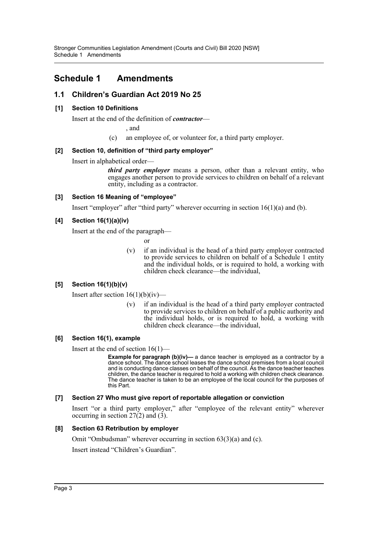# <span id="page-3-0"></span>**Schedule 1 Amendments**

# **1.1 Children's Guardian Act 2019 No 25**

# **[1] Section 10 Definitions**

Insert at the end of the definition of *contractor*—

, and

(c) an employee of, or volunteer for, a third party employer.

# **[2] Section 10, definition of "third party employer"**

Insert in alphabetical order—

*third party employer* means a person, other than a relevant entity, who engages another person to provide services to children on behalf of a relevant entity, including as a contractor.

# **[3] Section 16 Meaning of "employee"**

Insert "employer" after "third party" wherever occurring in section  $16(1)(a)$  and (b).

# **[4] Section 16(1)(a)(iv)**

Insert at the end of the paragraph—

or

(v) if an individual is the head of a third party employer contracted to provide services to children on behalf of a Schedule 1 entity and the individual holds, or is required to hold, a working with children check clearance—the individual,

# **[5] Section 16(1)(b)(v)**

Insert after section  $16(1)(b)(iv)$ —

(v) if an individual is the head of a third party employer contracted to provide services to children on behalf of a public authority and the individual holds, or is required to hold, a working with children check clearance—the individual,

# **[6] Section 16(1), example**

Insert at the end of section  $16(1)$ —

**Example for paragraph (b)(iv)—** a dance teacher is employed as a contractor by a dance school. The dance school leases the dance school premises from a local council and is conducting dance classes on behalf of the council. As the dance teacher teaches children, the dance teacher is required to hold a working with children check clearance. The dance teacher is taken to be an employee of the local council for the purposes of this Part.

# **[7] Section 27 Who must give report of reportable allegation or conviction**

Insert "or a third party employer," after "employee of the relevant entity" wherever occurring in section  $27(2)$  and  $(3)$ .

# **[8] Section 63 Retribution by employer**

Omit "Ombudsman" wherever occurring in section 63(3)(a) and (c).

Insert instead "Children's Guardian".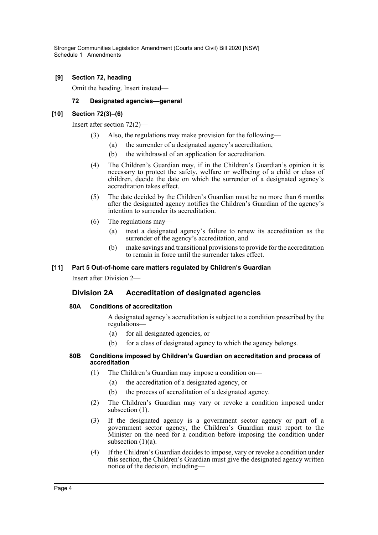# **[9] Section 72, heading**

Omit the heading. Insert instead—

# **72 Designated agencies—general**

# **[10] Section 72(3)–(6)**

Insert after section 72(2)—

- Also, the regulations may make provision for the following—
	- (a) the surrender of a designated agency's accreditation,
	- (b) the withdrawal of an application for accreditation.
- (4) The Children's Guardian may, if in the Children's Guardian's opinion it is necessary to protect the safety, welfare or wellbeing of a child or class of children, decide the date on which the surrender of a designated agency's accreditation takes effect.
- (5) The date decided by the Children's Guardian must be no more than 6 months after the designated agency notifies the Children's Guardian of the agency's intention to surrender its accreditation.
- (6) The regulations may—
	- (a) treat a designated agency's failure to renew its accreditation as the surrender of the agency's accreditation, and
	- (b) make savings and transitional provisions to provide for the accreditation to remain in force until the surrender takes effect.

# **[11] Part 5 Out-of-home care matters regulated by Children's Guardian**

Insert after Division 2—

# **Division 2A Accreditation of designated agencies**

# **80A Conditions of accreditation**

A designated agency's accreditation is subject to a condition prescribed by the regulations—

- (a) for all designated agencies, or
- (b) for a class of designated agency to which the agency belongs.

#### **80B Conditions imposed by Children's Guardian on accreditation and process of accreditation**

- (1) The Children's Guardian may impose a condition on—
	- (a) the accreditation of a designated agency, or
	- (b) the process of accreditation of a designated agency.
- (2) The Children's Guardian may vary or revoke a condition imposed under subsection  $(1)$ .
- (3) If the designated agency is a government sector agency or part of a government sector agency, the Children's Guardian must report to the Minister on the need for a condition before imposing the condition under subsection  $(1)(a)$ .
- (4) If the Children's Guardian decides to impose, vary or revoke a condition under this section, the Children's Guardian must give the designated agency written notice of the decision, including—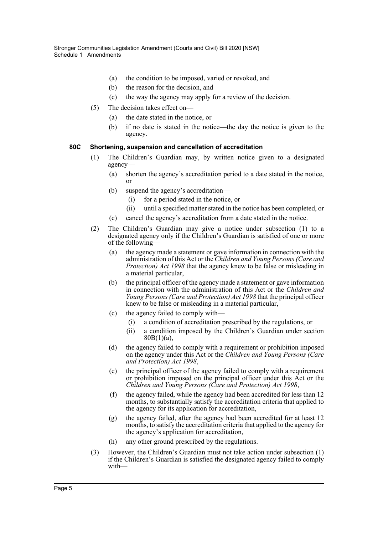- (a) the condition to be imposed, varied or revoked, and
- (b) the reason for the decision, and
- (c) the way the agency may apply for a review of the decision.
- (5) The decision takes effect on—
	- (a) the date stated in the notice, or
	- (b) if no date is stated in the notice—the day the notice is given to the agency.

# **80C Shortening, suspension and cancellation of accreditation**

- (1) The Children's Guardian may, by written notice given to a designated agency—
	- (a) shorten the agency's accreditation period to a date stated in the notice, or
	- (b) suspend the agency's accreditation—
		- (i) for a period stated in the notice, or
		- (ii) until a specified matter stated in the notice has been completed, or
	- (c) cancel the agency's accreditation from a date stated in the notice.
- (2) The Children's Guardian may give a notice under subsection (1) to a designated agency only if the Children's Guardian is satisfied of one or more of the following—
	- (a) the agency made a statement or gave information in connection with the administration of this Act or the *Children and Young Persons (Care and Protection) Act 1998* that the agency knew to be false or misleading in a material particular,
	- (b) the principal officer of the agency made a statement or gave information in connection with the administration of this Act or the *Children and Young Persons (Care and Protection) Act 1998* that the principal officer knew to be false or misleading in a material particular,
	- (c) the agency failed to comply with—
		- (i) a condition of accreditation prescribed by the regulations, or
		- (ii) a condition imposed by the Children's Guardian under section 80B(1)(a),
	- (d) the agency failed to comply with a requirement or prohibition imposed on the agency under this Act or the *Children and Young Persons (Care and Protection) Act 1998*,
	- (e) the principal officer of the agency failed to comply with a requirement or prohibition imposed on the principal officer under this Act or the *Children and Young Persons (Care and Protection) Act 1998*,
	- (f) the agency failed, while the agency had been accredited for less than 12 months, to substantially satisfy the accreditation criteria that applied to the agency for its application for accreditation,
	- (g) the agency failed, after the agency had been accredited for at least 12 months, to satisfy the accreditation criteria that applied to the agency for the agency's application for accreditation,
	- (h) any other ground prescribed by the regulations.
- (3) However, the Children's Guardian must not take action under subsection (1) if the Children's Guardian is satisfied the designated agency failed to comply with—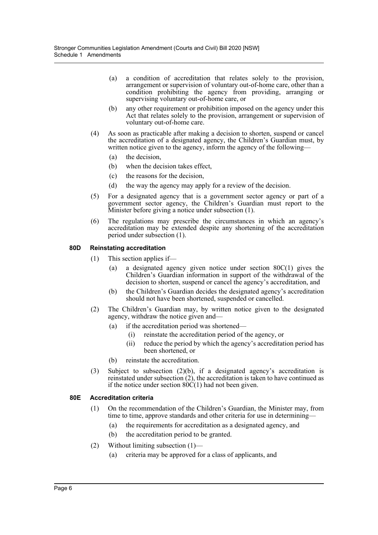- (a) a condition of accreditation that relates solely to the provision, arrangement or supervision of voluntary out-of-home care, other than a condition prohibiting the agency from providing, arranging or supervising voluntary out-of-home care, or
- (b) any other requirement or prohibition imposed on the agency under this Act that relates solely to the provision, arrangement or supervision of voluntary out-of-home care.
- (4) As soon as practicable after making a decision to shorten, suspend or cancel the accreditation of a designated agency, the Children's Guardian must, by written notice given to the agency, inform the agency of the following—
	- (a) the decision,
	- (b) when the decision takes effect,
	- (c) the reasons for the decision,
	- (d) the way the agency may apply for a review of the decision.
- (5) For a designated agency that is a government sector agency or part of a government sector agency, the Children's Guardian must report to the Minister before giving a notice under subsection (1).
- (6) The regulations may prescribe the circumstances in which an agency's accreditation may be extended despite any shortening of the accreditation period under subsection (1).

# **80D Reinstating accreditation**

- (1) This section applies if—
	- (a) a designated agency given notice under section 80C(1) gives the Children's Guardian information in support of the withdrawal of the decision to shorten, suspend or cancel the agency's accreditation, and
	- (b) the Children's Guardian decides the designated agency's accreditation should not have been shortened, suspended or cancelled.
- (2) The Children's Guardian may, by written notice given to the designated agency, withdraw the notice given and—
	- (a) if the accreditation period was shortened—
		- (i) reinstate the accreditation period of the agency, or
		- (ii) reduce the period by which the agency's accreditation period has been shortened, or
	- (b) reinstate the accreditation.
- (3) Subject to subsection (2)(b), if a designated agency's accreditation is reinstated under subsection  $(2)$ , the accreditation is taken to have continued as if the notice under section  $80C(1)$  had not been given.

# **80E Accreditation criteria**

- (1) On the recommendation of the Children's Guardian, the Minister may, from time to time, approve standards and other criteria for use in determining—
	- (a) the requirements for accreditation as a designated agency, and
	- (b) the accreditation period to be granted.
- (2) Without limiting subsection (1)—
	- (a) criteria may be approved for a class of applicants, and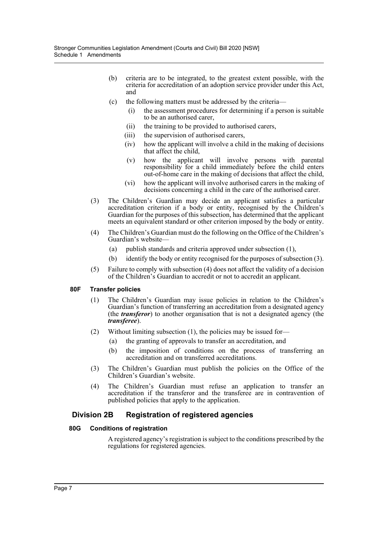- (b) criteria are to be integrated, to the greatest extent possible, with the criteria for accreditation of an adoption service provider under this Act, and
- (c) the following matters must be addressed by the criteria—
	- (i) the assessment procedures for determining if a person is suitable to be an authorised carer,
	- (ii) the training to be provided to authorised carers,
	- (iii) the supervision of authorised carers,
	- (iv) how the applicant will involve a child in the making of decisions that affect the child,
	- (v) how the applicant will involve persons with parental responsibility for a child immediately before the child enters out-of-home care in the making of decisions that affect the child,
	- (vi) how the applicant will involve authorised carers in the making of decisions concerning a child in the care of the authorised carer.
- (3) The Children's Guardian may decide an applicant satisfies a particular accreditation criterion if a body or entity, recognised by the Children's Guardian for the purposes of this subsection, has determined that the applicant meets an equivalent standard or other criterion imposed by the body or entity.
- (4) The Children's Guardian must do the following on the Office of the Children's Guardian's website—
	- (a) publish standards and criteria approved under subsection (1),
	- (b) identify the body or entity recognised for the purposes of subsection (3).
- (5) Failure to comply with subsection (4) does not affect the validity of a decision of the Children's Guardian to accredit or not to accredit an applicant.

# **80F Transfer policies**

- (1) The Children's Guardian may issue policies in relation to the Children's Guardian's function of transferring an accreditation from a designated agency (the *transferor*) to another organisation that is not a designated agency (the *transferee*).
- (2) Without limiting subsection (1), the policies may be issued for—
	- (a) the granting of approvals to transfer an accreditation, and
	- (b) the imposition of conditions on the process of transferring an accreditation and on transferred accreditations.
- (3) The Children's Guardian must publish the policies on the Office of the Children's Guardian's website.
- (4) The Children's Guardian must refuse an application to transfer an accreditation if the transferor and the transferee are in contravention of published policies that apply to the application.

# **Division 2B Registration of registered agencies**

# **80G Conditions of registration**

A registered agency's registration is subject to the conditions prescribed by the regulations for registered agencies.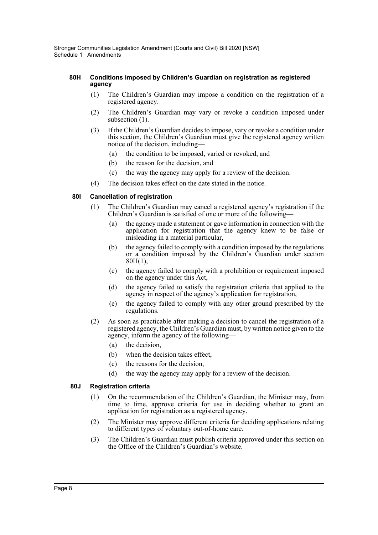# **80H Conditions imposed by Children's Guardian on registration as registered agency**

- (1) The Children's Guardian may impose a condition on the registration of a registered agency.
- (2) The Children's Guardian may vary or revoke a condition imposed under subsection  $(1)$ .
- (3) If the Children's Guardian decides to impose, vary or revoke a condition under this section, the Children's Guardian must give the registered agency written notice of the decision, including—
	- (a) the condition to be imposed, varied or revoked, and
	- (b) the reason for the decision, and
	- (c) the way the agency may apply for a review of the decision.
- (4) The decision takes effect on the date stated in the notice.

# **80I Cancellation of registration**

- (1) The Children's Guardian may cancel a registered agency's registration if the Children's Guardian is satisfied of one or more of the following—
	- (a) the agency made a statement or gave information in connection with the application for registration that the agency knew to be false or misleading in a material particular,
	- (b) the agency failed to comply with a condition imposed by the regulations or a condition imposed by the Children's Guardian under section 80H(1),
	- (c) the agency failed to comply with a prohibition or requirement imposed on the agency under this Act,
	- (d) the agency failed to satisfy the registration criteria that applied to the agency in respect of the agency's application for registration,
	- (e) the agency failed to comply with any other ground prescribed by the regulations.
- (2) As soon as practicable after making a decision to cancel the registration of a registered agency, the Children's Guardian must, by written notice given to the agency, inform the agency of the following—
	- (a) the decision,
	- (b) when the decision takes effect,
	- (c) the reasons for the decision,
	- (d) the way the agency may apply for a review of the decision.

# **80J Registration criteria**

- (1) On the recommendation of the Children's Guardian, the Minister may, from time to time, approve criteria for use in deciding whether to grant an application for registration as a registered agency.
- (2) The Minister may approve different criteria for deciding applications relating to different types of voluntary out-of-home care.
- (3) The Children's Guardian must publish criteria approved under this section on the Office of the Children's Guardian's website.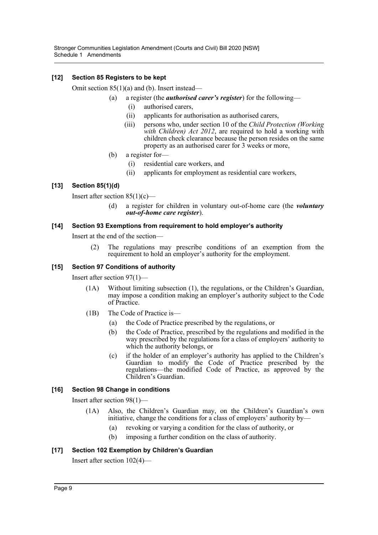# **[12] Section 85 Registers to be kept**

Omit section 85(1)(a) and (b). Insert instead—

(a) a register (the *authorised carer's register*) for the following—

- (i) authorised carers,
- (ii) applicants for authorisation as authorised carers,
- (iii) persons who, under section 10 of the *Child Protection (Working with Children) Act 2012*, are required to hold a working with children check clearance because the person resides on the same property as an authorised carer for 3 weeks or more,
- (b) a register for—
	- (i) residential care workers, and
	- (ii) applicants for employment as residential care workers,

# **[13] Section 85(1)(d)**

Insert after section  $85(1)(c)$ —

(d) a register for children in voluntary out-of-home care (the *voluntary out-of-home care register*).

# **[14] Section 93 Exemptions from requirement to hold employer's authority**

Insert at the end of the section—

(2) The regulations may prescribe conditions of an exemption from the requirement to hold an employer's authority for the employment.

# **[15] Section 97 Conditions of authority**

Insert after section 97(1)—

- (1A) Without limiting subsection (1), the regulations, or the Children's Guardian, may impose a condition making an employer's authority subject to the Code of Practice.
- (1B) The Code of Practice is—
	- (a) the Code of Practice prescribed by the regulations, or
	- (b) the Code of Practice, prescribed by the regulations and modified in the way prescribed by the regulations for a class of employers' authority to which the authority belongs, or
	- (c) if the holder of an employer's authority has applied to the Children's Guardian to modify the Code of Practice prescribed by the regulations—the modified Code of Practice, as approved by the Children's Guardian.

# **[16] Section 98 Change in conditions**

Insert after section 98(1)—

- (1A) Also, the Children's Guardian may, on the Children's Guardian's own initiative, change the conditions for a class of employers' authority by—
	- (a) revoking or varying a condition for the class of authority, or
	- (b) imposing a further condition on the class of authority.

# **[17] Section 102 Exemption by Children's Guardian**

Insert after section 102(4)—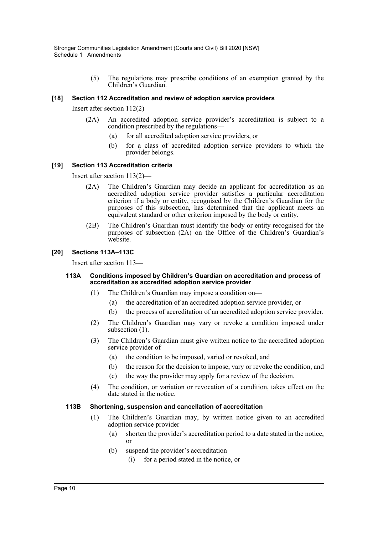(5) The regulations may prescribe conditions of an exemption granted by the Children's Guardian.

# **[18] Section 112 Accreditation and review of adoption service providers**

Insert after section 112(2)—

- (2A) An accredited adoption service provider's accreditation is subject to a condition prescribed by the regulations—
	- (a) for all accredited adoption service providers, or
	- (b) for a class of accredited adoption service providers to which the provider belongs.

# **[19] Section 113 Accreditation criteria**

Insert after section 113(2)—

- (2A) The Children's Guardian may decide an applicant for accreditation as an accredited adoption service provider satisfies a particular accreditation criterion if a body or entity, recognised by the Children's Guardian for the purposes of this subsection, has determined that the applicant meets an equivalent standard or other criterion imposed by the body or entity.
- (2B) The Children's Guardian must identify the body or entity recognised for the purposes of subsection (2A) on the Office of the Children's Guardian's website.

# **[20] Sections 113A–113C**

Insert after section 113—

#### **113A Conditions imposed by Children's Guardian on accreditation and process of accreditation as accredited adoption service provider**

- (1) The Children's Guardian may impose a condition on—
	- (a) the accreditation of an accredited adoption service provider, or
	- (b) the process of accreditation of an accredited adoption service provider.
- (2) The Children's Guardian may vary or revoke a condition imposed under subsection  $(1)$ .
- (3) The Children's Guardian must give written notice to the accredited adoption service provider of—
	- (a) the condition to be imposed, varied or revoked, and
	- (b) the reason for the decision to impose, vary or revoke the condition, and
	- (c) the way the provider may apply for a review of the decision.
- (4) The condition, or variation or revocation of a condition, takes effect on the date stated in the notice.

# **113B Shortening, suspension and cancellation of accreditation**

- (1) The Children's Guardian may, by written notice given to an accredited adoption service provider—
	- (a) shorten the provider's accreditation period to a date stated in the notice, or
	- (b) suspend the provider's accreditation—
		- (i) for a period stated in the notice, or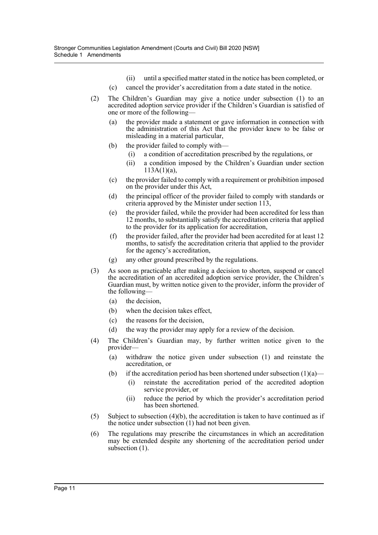- (ii) until a specified matter stated in the notice has been completed, or
- (c) cancel the provider's accreditation from a date stated in the notice.
- (2) The Children's Guardian may give a notice under subsection (1) to an accredited adoption service provider if the Children's Guardian is satisfied of one or more of the following—
	- (a) the provider made a statement or gave information in connection with the administration of this Act that the provider knew to be false or misleading in a material particular,
	- (b) the provider failed to comply with—
		- (i) a condition of accreditation prescribed by the regulations, or
		- (ii) a condition imposed by the Children's Guardian under section  $113A(1)(a)$ ,
	- (c) the provider failed to comply with a requirement or prohibition imposed on the provider under this Act,
	- (d) the principal officer of the provider failed to comply with standards or criteria approved by the Minister under section 113,
	- (e) the provider failed, while the provider had been accredited for less than 12 months, to substantially satisfy the accreditation criteria that applied to the provider for its application for accreditation,
	- (f) the provider failed, after the provider had been accredited for at least 12 months, to satisfy the accreditation criteria that applied to the provider for the agency's accreditation,
	- (g) any other ground prescribed by the regulations.
- (3) As soon as practicable after making a decision to shorten, suspend or cancel the accreditation of an accredited adoption service provider, the Children's Guardian must, by written notice given to the provider, inform the provider of the following—
	- (a) the decision,
	- (b) when the decision takes effect,
	- (c) the reasons for the decision,
	- (d) the way the provider may apply for a review of the decision.
- (4) The Children's Guardian may, by further written notice given to the provider—
	- (a) withdraw the notice given under subsection (1) and reinstate the accreditation, or
	- (b) if the accreditation period has been shortened under subsection  $(1)(a)$ 
		- (i) reinstate the accreditation period of the accredited adoption service provider, or
		- (ii) reduce the period by which the provider's accreditation period has been shortened.
- (5) Subject to subsection (4)(b), the accreditation is taken to have continued as if the notice under subsection (1) had not been given.
- (6) The regulations may prescribe the circumstances in which an accreditation may be extended despite any shortening of the accreditation period under subsection (1).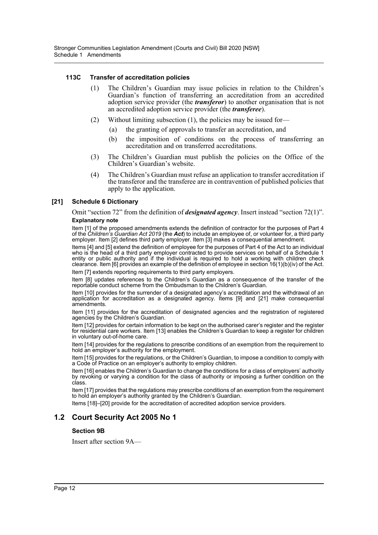# **113C Transfer of accreditation policies**

- (1) The Children's Guardian may issue policies in relation to the Children's Guardian's function of transferring an accreditation from an accredited adoption service provider (the *transferor*) to another organisation that is not an accredited adoption service provider (the *transferee*).
- (2) Without limiting subsection (1), the policies may be issued for—
	- (a) the granting of approvals to transfer an accreditation, and
	- (b) the imposition of conditions on the process of transferring an accreditation and on transferred accreditations.
- (3) The Children's Guardian must publish the policies on the Office of the Children's Guardian's website.
- (4) The Children's Guardian must refuse an application to transfer accreditation if the transferor and the transferee are in contravention of published policies that apply to the application.

# **[21] Schedule 6 Dictionary**

Omit "section 72" from the definition of *designated agency*. Insert instead "section 72(1)". **Explanatory note**

Item [1] of the proposed amendments extends the definition of contractor for the purposes of Part 4 of the *Children's Guardian Act 2019* (the *Act*) to include an employee of, or volunteer for, a third party employer. Item [2] defines third party employer. Item [3] makes a consequential amendment.

Items [4] and [5] extend the definition of employee for the purposes of Part 4 of the Act to an individual who is the head of a third party employer contracted to provide services on behalf of a Schedule 1 entity or public authority and if the individual is required to hold a working with children check clearance. Item [6] provides an example of the definition of employee in section 16(1)(b)(iv) of the Act.

Item [7] extends reporting requirements to third party employers.

Item [8] updates references to the Children's Guardian as a consequence of the transfer of the reportable conduct scheme from the Ombudsman to the Children's Guardian.

Item [10] provides for the surrender of a designated agency's accreditation and the withdrawal of an application for accreditation as a designated agency. Items [9] and [21] make consequential amendments.

Item [11] provides for the accreditation of designated agencies and the registration of registered agencies by the Children's Guardian.

Item [12] provides for certain information to be kept on the authorised carer's register and the register for residential care workers. Item [13] enables the Children's Guardian to keep a register for children in voluntary out-of-home care.

Item [14] provides for the regulations to prescribe conditions of an exemption from the requirement to hold an employer's authority for the employment.

Item [15] provides for the regulations, or the Children's Guardian, to impose a condition to comply with a Code of Practice on an employer's authority to employ children.

Item [16] enables the Children's Guardian to change the conditions for a class of employers' authority by revoking or varying a condition for the class of authority or imposing a further condition on the class.

Item [17] provides that the regulations may prescribe conditions of an exemption from the requirement to hold an employer's authority granted by the Children's Guardian.

Items [18]–[20] provide for the accreditation of accredited adoption service providers.

# **1.2 Court Security Act 2005 No 1**

# **Section 9B**

Insert after section 9A—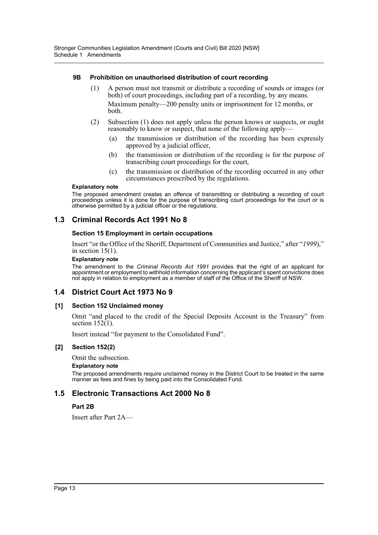# **9B Prohibition on unauthorised distribution of court recording**

- (1) A person must not transmit or distribute a recording of sounds or images (or both) of court proceedings, including part of a recording, by any means. Maximum penalty—200 penalty units or imprisonment for 12 months, or both.
- (2) Subsection (1) does not apply unless the person knows or suspects, or ought reasonably to know or suspect, that none of the following apply-
	- (a) the transmission or distribution of the recording has been expressly approved by a judicial officer,
	- (b) the transmission or distribution of the recording is for the purpose of transcribing court proceedings for the court,
	- (c) the transmission or distribution of the recording occurred in any other circumstances prescribed by the regulations.

#### **Explanatory note**

The proposed amendment creates an offence of transmitting or distributing a recording of court proceedings unless it is done for the purpose of transcribing court proceedings for the court or is otherwise permitted by a judicial officer or the regulations.

# **1.3 Criminal Records Act 1991 No 8**

# **Section 15 Employment in certain occupations**

Insert "or the Office of the Sheriff, Department of Communities and Justice," after "*1999*)," in section  $15(1)$ .

#### **Explanatory note**

The amendment to the *Criminal Records Act 1991* provides that the right of an applicant for appointment or employment to withhold information concerning the applicant's spent convictions does not apply in relation to employment as a member of staff of the Office of the Sheriff of NSW.

# **1.4 District Court Act 1973 No 9**

# **[1] Section 152 Unclaimed money**

Omit "and placed to the credit of the Special Deposits Account in the Treasury" from section  $152(1)$ .

Insert instead "for payment to the Consolidated Fund".

# **[2] Section 152(2)**

Omit the subsection.

# **Explanatory note**

The proposed amendments require unclaimed money in the District Court to be treated in the same manner as fees and fines by being paid into the Consolidated Fund.

# **1.5 Electronic Transactions Act 2000 No 8**

# **Part 2B**

Insert after Part 2A—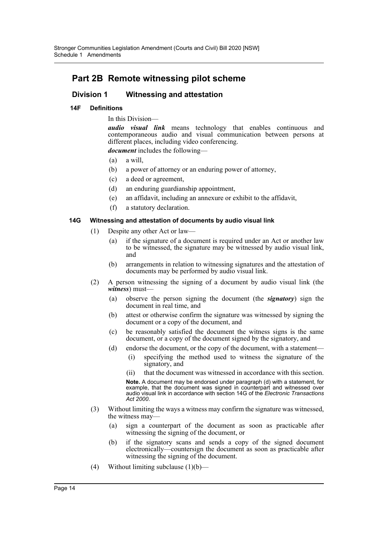# **Part 2B Remote witnessing pilot scheme**

# **Division 1 Witnessing and attestation**

# **14F Definitions**

In this Division—

*audio visual link* means technology that enables continuous and contemporaneous audio and visual communication between persons at different places, including video conferencing.

*document* includes the following—

- (a) a will,
- (b) a power of attorney or an enduring power of attorney,
- (c) a deed or agreement,
- (d) an enduring guardianship appointment,
- (e) an affidavit, including an annexure or exhibit to the affidavit,
- (f) a statutory declaration.

# **14G Witnessing and attestation of documents by audio visual link**

- (1) Despite any other Act or law—
	- (a) if the signature of a document is required under an Act or another law to be witnessed, the signature may be witnessed by audio visual link, and
	- (b) arrangements in relation to witnessing signatures and the attestation of documents may be performed by audio visual link.
- (2) A person witnessing the signing of a document by audio visual link (the *witness*) must—
	- (a) observe the person signing the document (the *signatory*) sign the document in real time, and
	- (b) attest or otherwise confirm the signature was witnessed by signing the document or a copy of the document, and
	- (c) be reasonably satisfied the document the witness signs is the same document, or a copy of the document signed by the signatory, and
	- (d) endorse the document, or the copy of the document, with a statement—
		- (i) specifying the method used to witness the signature of the signatory, and
		- (ii) that the document was witnessed in accordance with this section.

**Note.** A document may be endorsed under paragraph (d) with a statement, for example, that the document was signed in counterpart and witnessed over audio visual link in accordance with section 14G of the *Electronic Transactions Act 2000*.

- (3) Without limiting the ways a witness may confirm the signature was witnessed, the witness may-
	- (a) sign a counterpart of the document as soon as practicable after witnessing the signing of the document, or
	- (b) if the signatory scans and sends a copy of the signed document electronically—countersign the document as soon as practicable after witnessing the signing of the document.
- (4) Without limiting subclause  $(1)(b)$ —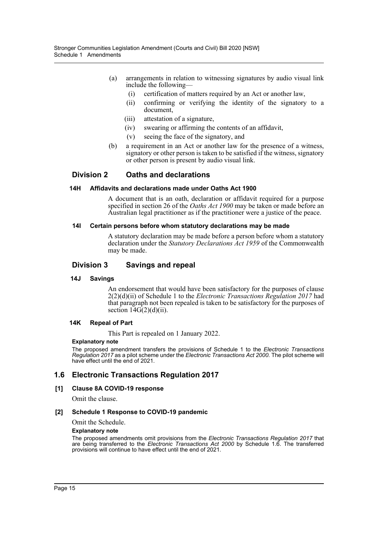- (a) arrangements in relation to witnessing signatures by audio visual link include the following—
	- (i) certification of matters required by an Act or another law,
	- (ii) confirming or verifying the identity of the signatory to a document,
	- (iii) attestation of a signature,
	- (iv) swearing or affirming the contents of an affidavit,
	- (v) seeing the face of the signatory, and
- (b) a requirement in an Act or another law for the presence of a witness, signatory or other person is taken to be satisfied if the witness, signatory or other person is present by audio visual link.

# **Division 2 Oaths and declarations**

#### **14H Affidavits and declarations made under Oaths Act 1900**

A document that is an oath, declaration or affidavit required for a purpose specified in section 26 of the *Oaths Act 1900* may be taken or made before an Australian legal practitioner as if the practitioner were a justice of the peace.

#### **14I Certain persons before whom statutory declarations may be made**

A statutory declaration may be made before a person before whom a statutory declaration under the *Statutory Declarations Act 1959* of the Commonwealth may be made.

# **Division 3 Savings and repeal**

#### **14J Savings**

An endorsement that would have been satisfactory for the purposes of clause 2(2)(d)(ii) of Schedule 1 to the *Electronic Transactions Regulation 2017* had that paragraph not been repealed is taken to be satisfactory for the purposes of section  $14G(2)(d)(ii)$ .

#### **14K Repeal of Part**

This Part is repealed on 1 January 2022.

#### **Explanatory note**

The proposed amendment transfers the provisions of Schedule 1 to the *Electronic Transactions Regulation 2017* as a pilot scheme under the *Electronic Transactions Act 2000*. The pilot scheme will have effect until the end of 2021.

# **1.6 Electronic Transactions Regulation 2017**

# **[1] Clause 8A COVID-19 response**

Omit the clause.

#### **[2] Schedule 1 Response to COVID-19 pandemic**

Omit the Schedule.

#### **Explanatory note**

The proposed amendments omit provisions from the *Electronic Transactions Regulation 2017* that are being transferred to the *Electronic Transactions Act 2000* by Schedule 1.6. The transferred provisions will continue to have effect until the end of 2021.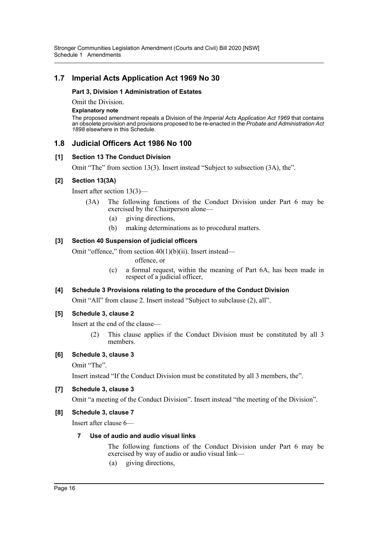# **1.7 Imperial Acts Application Act 1969 No 30**

# **Part 3, Division 1 Administration of Estates**

Omit the Division.

#### **Explanatory note**

The proposed amendment repeals a Division of the *Imperial Acts Application Act 1969* that contains an obsolete provision and provisions proposed to be re-enacted in the *Probate and Administration Act 1898* elsewhere in this Schedule.

# **1.8 Judicial Officers Act 1986 No 100**

# **[1] Section 13 The Conduct Division**

Omit "The" from section 13(3). Insert instead "Subject to subsection (3A), the".

# **[2] Section 13(3A)**

Insert after section 13(3)—

- (3A) The following functions of the Conduct Division under Part 6 may be exercised by the Chairperson alone—
	- (a) giving directions,
	- (b) making determinations as to procedural matters.

# **[3] Section 40 Suspension of judicial officers**

Omit "offence," from section 40(1)(b)(ii). Insert instead—

offence, or

(c) a formal request, within the meaning of Part 6A, has been made in respect of a judicial officer,

# **[4] Schedule 3 Provisions relating to the procedure of the Conduct Division**

Omit "All" from clause 2. Insert instead "Subject to subclause (2), all".

# **[5] Schedule 3, clause 2**

Insert at the end of the clause—

(2) This clause applies if the Conduct Division must be constituted by all 3 members.

# **[6] Schedule 3, clause 3**

Omit "The".

Insert instead "If the Conduct Division must be constituted by all 3 members, the".

# **[7] Schedule 3, clause 3**

Omit "a meeting of the Conduct Division". Insert instead "the meeting of the Division".

# **[8] Schedule 3, clause 7**

Insert after clause 6—

# **7 Use of audio and audio visual links**

The following functions of the Conduct Division under Part 6 may be exercised by way of audio or audio visual link—

(a) giving directions,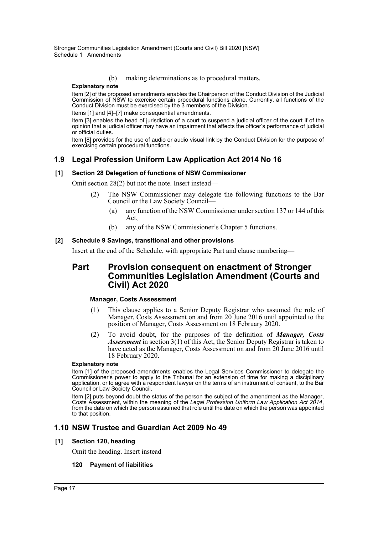(b) making determinations as to procedural matters.

#### **Explanatory note**

Item [2] of the proposed amendments enables the Chairperson of the Conduct Division of the Judicial Commission of NSW to exercise certain procedural functions alone. Currently, all functions of the Conduct Division must be exercised by the 3 members of the Division.

Items [1] and [4]–[7] make consequential amendments.

Item [3] enables the head of jurisdiction of a court to suspend a judicial officer of the court if of the opinion that a judicial officer may have an impairment that affects the officer's performance of judicial or official duties.

Item [8] provides for the use of audio or audio visual link by the Conduct Division for the purpose of exercising certain procedural functions.

# **1.9 Legal Profession Uniform Law Application Act 2014 No 16**

# **[1] Section 28 Delegation of functions of NSW Commissioner**

Omit section 28(2) but not the note. Insert instead—

- (2) The NSW Commissioner may delegate the following functions to the Bar Council or the Law Society Council—
	- (a) any function of the NSW Commissioner under section 137 or 144 of this Act,
	- (b) any of the NSW Commissioner's Chapter 5 functions.

# **[2] Schedule 9 Savings, transitional and other provisions**

Insert at the end of the Schedule, with appropriate Part and clause numbering—

# **Part Provision consequent on enactment of Stronger Communities Legislation Amendment (Courts and Civil) Act 2020**

# **Manager, Costs Assessment**

- (1) This clause applies to a Senior Deputy Registrar who assumed the role of Manager, Costs Assessment on and from 20 June 2016 until appointed to the position of Manager, Costs Assessment on 18 February 2020.
- (2) To avoid doubt, for the purposes of the definition of *Manager, Costs Assessment* in section 3(1) of this Act, the Senior Deputy Registrar is taken to have acted as the Manager, Costs Assessment on and from 20 June 2016 until 18 February 2020.

#### **Explanatory note**

Item [1] of the proposed amendments enables the Legal Services Commissioner to delegate the Commissioner's power to apply to the Tribunal for an extension of time for making a disciplinary application, or to agree with a respondent lawyer on the terms of an instrument of consent, to the Bar Council or Law Society Council.

Item [2] puts beyond doubt the status of the person the subject of the amendment as the Manager, Costs Assessment, within the meaning of the Legal Profession Uniform Law Application Act 2014, from the date on which the person assumed that role until the date on which the person was appointed to that position.

# **1.10 NSW Trustee and Guardian Act 2009 No 49**

# **[1] Section 120, heading**

Omit the heading. Insert instead—

# **120 Payment of liabilities**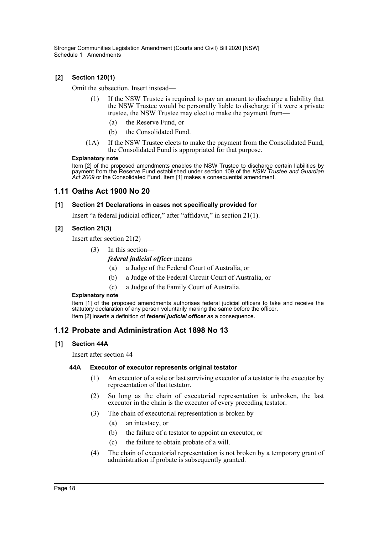# **[2] Section 120(1)**

Omit the subsection. Insert instead—

- (1) If the NSW Trustee is required to pay an amount to discharge a liability that the NSW Trustee would be personally liable to discharge if it were a private trustee, the NSW Trustee may elect to make the payment from—
	- (a) the Reserve Fund, or
	- (b) the Consolidated Fund.
- (1A) If the NSW Trustee elects to make the payment from the Consolidated Fund, the Consolidated Fund is appropriated for that purpose.

#### **Explanatory note**

Item [2] of the proposed amendments enables the NSW Trustee to discharge certain liabilities by payment from the Reserve Fund established under section 109 of the *NSW Trustee and Guardian Act 2009* or the Consolidated Fund. Item [1] makes a consequential amendment.

# **1.11 Oaths Act 1900 No 20**

# **[1] Section 21 Declarations in cases not specifically provided for**

Insert "a federal judicial officer," after "affidavit," in section 21(1).

# **[2] Section 21(3)**

Insert after section 21(2)—

(3) In this section—

*federal judicial officer* means—

- (a) a Judge of the Federal Court of Australia, or
- (b) a Judge of the Federal Circuit Court of Australia, or
- (c) a Judge of the Family Court of Australia.

#### **Explanatory note**

Item [1] of the proposed amendments authorises federal judicial officers to take and receive the statutory declaration of any person voluntarily making the same before the officer. Item [2] inserts a definition of *federal judicial officer* as a consequence.

# **1.12 Probate and Administration Act 1898 No 13**

# **[1] Section 44A**

Insert after section 44—

# **44A Executor of executor represents original testator**

- (1) An executor of a sole or last surviving executor of a testator is the executor by representation of that testator.
- (2) So long as the chain of executorial representation is unbroken, the last executor in the chain is the executor of every preceding testator.
- (3) The chain of executorial representation is broken by—
	- (a) an intestacy, or
	- (b) the failure of a testator to appoint an executor, or
	- (c) the failure to obtain probate of a will.
- (4) The chain of executorial representation is not broken by a temporary grant of administration if probate is subsequently granted.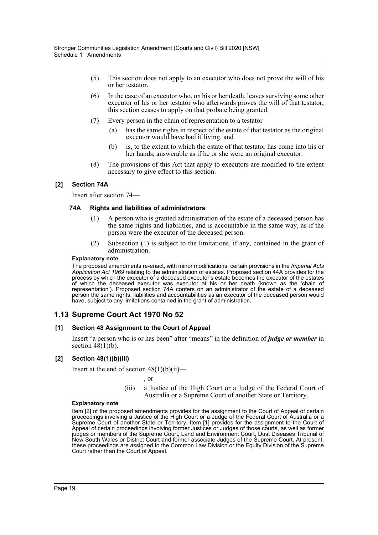- (5) This section does not apply to an executor who does not prove the will of his or her testator.
- (6) In the case of an executor who, on his or her death, leaves surviving some other executor of his or her testator who afterwards proves the will of that testator, this section ceases to apply on that probate being granted.
- (7) Every person in the chain of representation to a testator—
	- (a) has the same rights in respect of the estate of that testator as the original executor would have had if living, and
	- (b) is, to the extent to which the estate of that testator has come into his or her hands, answerable as if he or she were an original executor.
- (8) The provisions of this Act that apply to executors are modified to the extent necessary to give effect to this section.

# **[2] Section 74A**

Insert after section 74—

# **74A Rights and liabilities of administrators**

- (1) A person who is granted administration of the estate of a deceased person has the same rights and liabilities, and is accountable in the same way, as if the person were the executor of the deceased person.
- (2) Subsection (1) is subject to the limitations, if any, contained in the grant of administration.

#### **Explanatory note**

The proposed amendments re-enact, with minor modifications, certain provisions in the *Imperial Acts Application Act 1969* relating to the administration of estates. Proposed section 44A provides for the process by which the executor of a deceased executor's estate becomes the executor of the estates of which the deceased executor was executor at his or her death (known as the 'chain of representation'). Proposed section 74A confers on an administrator of the estate of a deceased person the same rights, liabilities and accountabilities as an executor of the deceased person would have, subject to any limitations contained in the grant of administration.

# **1.13 Supreme Court Act 1970 No 52**

# **[1] Section 48 Assignment to the Court of Appeal**

Insert "a person who is or has been" after "means" in the definition of *judge or member* in section  $4\hat{8}(1)(b)$ .

# **[2] Section 48(1)(b)(iii)**

Insert at the end of section  $48(1)(b)(ii)$ —

, or

(iii) a Justice of the High Court or a Judge of the Federal Court of Australia or a Supreme Court of another State or Territory.

#### **Explanatory note**

Item [2] of the proposed amendments provides for the assignment to the Court of Appeal of certain proceedings involving a Justice of the High Court or a Judge of the Federal Court of Australia or a Supreme Court of another State or Territory. Item [1] provides for the assignment to the Court of Appeal of certain proceedings involving former Justices or Judges of those courts, as well as former judges or members of the Supreme Court, Land and Environment Court, Dust Diseases Tribunal of New South Wales or District Court and former associate Judges of the Supreme Court. At present, these proceedings are assigned to the Common Law Division or the Equity Division of the Supreme Court rather than the Court of Appeal.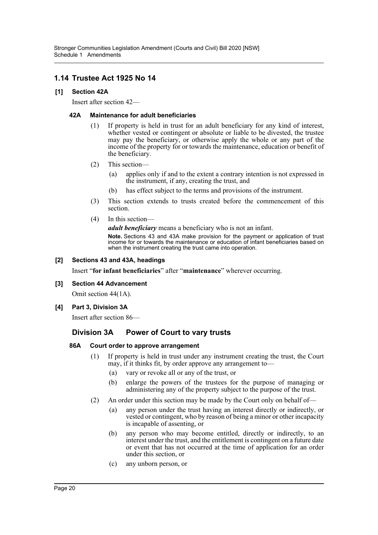# **1.14 Trustee Act 1925 No 14**

# **[1] Section 42A**

Insert after section 42—

# **42A Maintenance for adult beneficiaries**

- (1) If property is held in trust for an adult beneficiary for any kind of interest, whether vested or contingent or absolute or liable to be divested, the trustee may pay the beneficiary, or otherwise apply the whole or any part of the income of the property for or towards the maintenance, education or benefit of the beneficiary.
- (2) This section—
	- (a) applies only if and to the extent a contrary intention is not expressed in the instrument, if any, creating the trust, and
	- (b) has effect subject to the terms and provisions of the instrument.
- (3) This section extends to trusts created before the commencement of this section.
- (4) In this section—

*adult beneficiary* means a beneficiary who is not an infant.

**Note.** Sections 43 and 43A make provision for the payment or application of trust income for or towards the maintenance or education of infant beneficiaries based on when the instrument creating the trust came into operation.

# **[2] Sections 43 and 43A, headings**

Insert "**for infant beneficiaries**" after "**maintenance**" wherever occurring.

# **[3] Section 44 Advancement**

Omit section 44(1A).

# **[4] Part 3, Division 3A**

Insert after section 86—

# **Division 3A Power of Court to vary trusts**

# **86A Court order to approve arrangement**

- (1) If property is held in trust under any instrument creating the trust, the Court may, if it thinks fit, by order approve any arrangement to—
	- (a) vary or revoke all or any of the trust, or
	- (b) enlarge the powers of the trustees for the purpose of managing or administering any of the property subject to the purpose of the trust.
- (2) An order under this section may be made by the Court only on behalf of—
	- (a) any person under the trust having an interest directly or indirectly, or vested or contingent, who by reason of being a minor or other incapacity is incapable of assenting, or
	- (b) any person who may become entitled, directly or indirectly, to an interest under the trust, and the entitlement is contingent on a future date or event that has not occurred at the time of application for an order under this section, or
	- (c) any unborn person, or